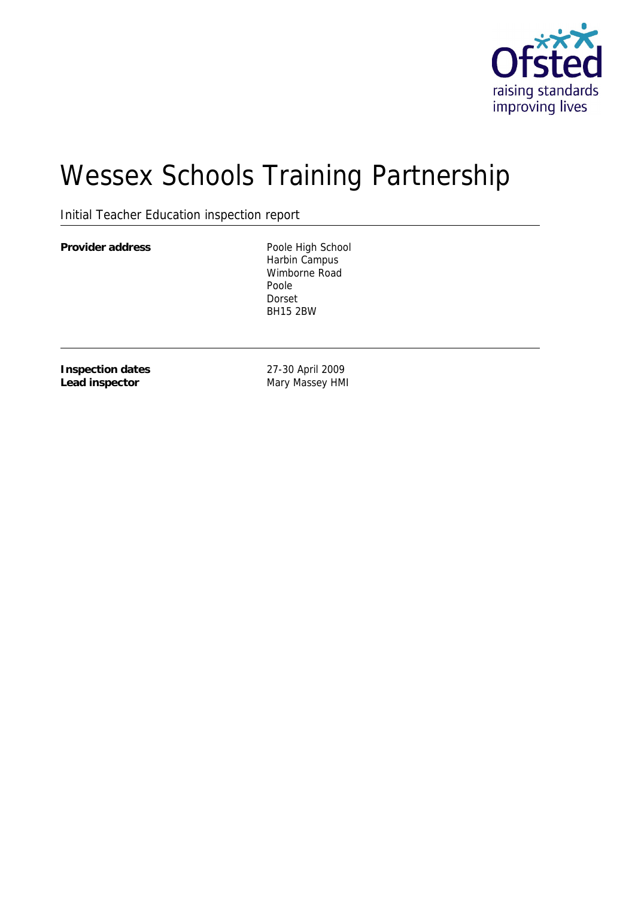

# Wessex Schools Training Partnership

Initial Teacher Education inspection report

Provider address **Poole High School** 

Harbin Campus Wimborne Road Poole Dorset BH15 2BW

**Inspection dates Lead inspector**

27-30 April 2009 Mary Massey HMI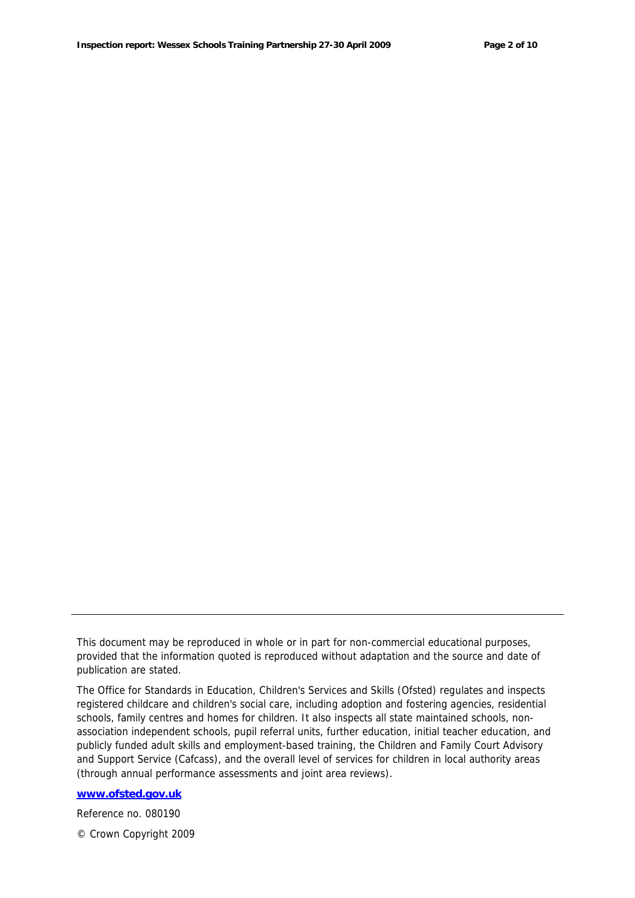This document may be reproduced in whole or in part for non-commercial educational purposes, provided that the information quoted is reproduced without adaptation and the source and date of publication are stated.

The Office for Standards in Education, Children's Services and Skills (Ofsted) regulates and inspects registered childcare and children's social care, including adoption and fostering agencies, residential schools, family centres and homes for children. It also inspects all state maintained schools, nonassociation independent schools, pupil referral units, further education, initial teacher education, and publicly funded adult skills and employment-based training, the Children and Family Court Advisory and Support Service (Cafcass), and the overall level of services for children in local authority areas (through annual performance assessments and joint area reviews).

**www.ofsted.gov.uk**

Reference no. 080190

© Crown Copyright 2009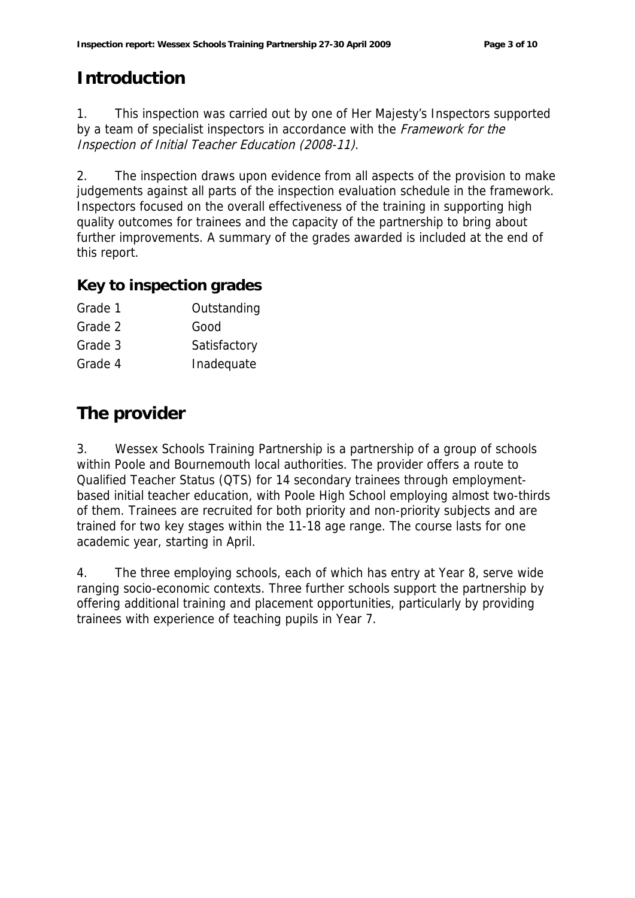# **Introduction**

1. This inspection was carried out by one of Her Majesty's Inspectors supported by a team of specialist inspectors in accordance with the Framework for the Inspection of Initial Teacher Education (2008-11).

2. The inspection draws upon evidence from all aspects of the provision to make judgements against all parts of the inspection evaluation schedule in the framework. Inspectors focused on the overall effectiveness of the training in supporting high quality outcomes for trainees and the capacity of the partnership to bring about further improvements. A summary of the grades awarded is included at the end of this report.

#### **Key to inspection grades**

| Grade 1 | Outstanding  |
|---------|--------------|
| Grade 2 | Good         |
| Grade 3 | Satisfactory |
| Grade 4 | Inadequate   |

# **The provider**

3. Wessex Schools Training Partnership is a partnership of a group of schools within Poole and Bournemouth local authorities. The provider offers a route to Qualified Teacher Status (QTS) for 14 secondary trainees through employmentbased initial teacher education, with Poole High School employing almost two-thirds of them. Trainees are recruited for both priority and non-priority subjects and are trained for two key stages within the 11-18 age range. The course lasts for one academic year, starting in April.

4. The three employing schools, each of which has entry at Year 8, serve wide ranging socio-economic contexts. Three further schools support the partnership by offering additional training and placement opportunities, particularly by providing trainees with experience of teaching pupils in Year 7.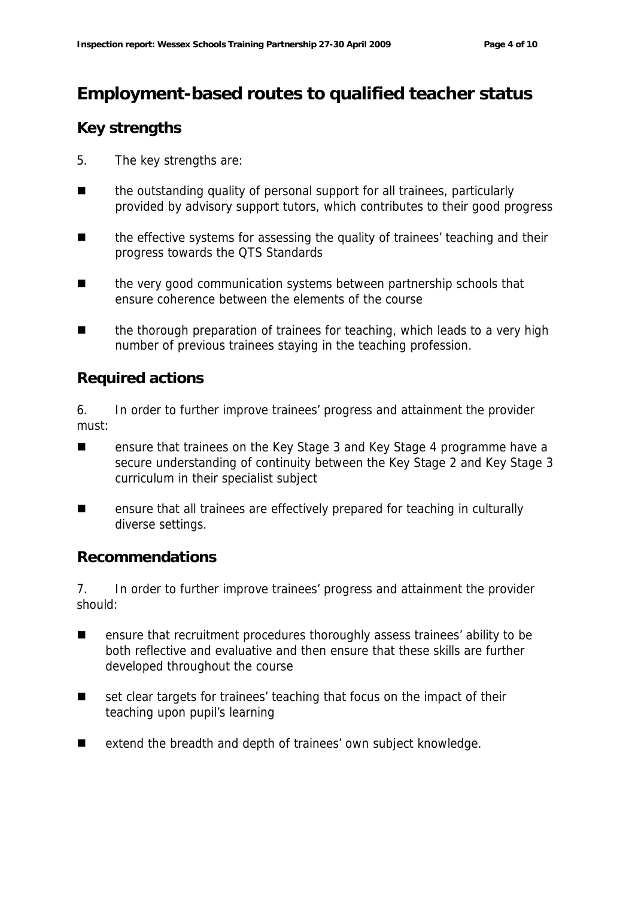# **Employment-based routes to qualified teacher status**

### **Key strengths**

- 5. The key strengths are:
- the outstanding quality of personal support for all trainees, particularly provided by advisory support tutors, which contributes to their good progress
- the effective systems for assessing the quality of trainees' teaching and their progress towards the QTS Standards
- the very good communication systems between partnership schools that ensure coherence between the elements of the course
- the thorough preparation of trainees for teaching, which leads to a very high number of previous trainees staying in the teaching profession.

#### **Required actions**

6. In order to further improve trainees' progress and attainment the provider must:

- ensure that trainees on the Key Stage 3 and Key Stage 4 programme have a secure understanding of continuity between the Key Stage 2 and Key Stage 3 curriculum in their specialist subject
- **EXECT** ensure that all trainees are effectively prepared for teaching in culturally diverse settings.

#### **Recommendations**

7. In order to further improve trainees' progress and attainment the provider should:

- ensure that recruitment procedures thoroughly assess trainees' ability to be both reflective and evaluative and then ensure that these skills are further developed throughout the course
- set clear targets for trainees' teaching that focus on the impact of their teaching upon pupil's learning
- extend the breadth and depth of trainees' own subject knowledge.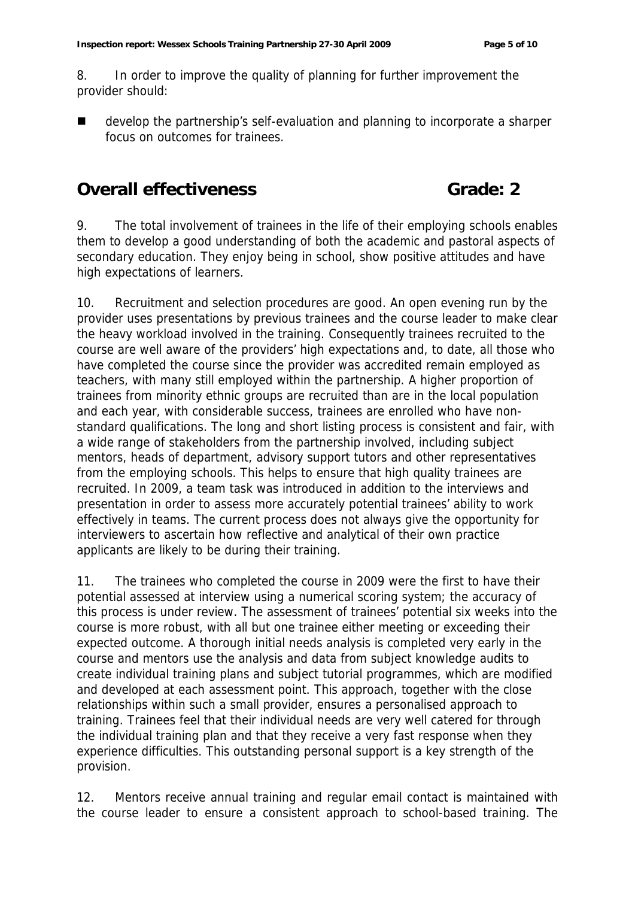8. In order to improve the quality of planning for further improvement the provider should:

 develop the partnership's self-evaluation and planning to incorporate a sharper focus on outcomes for trainees.

# **Overall effectiveness Grade: 2**

9. The total involvement of trainees in the life of their employing schools enables them to develop a good understanding of both the academic and pastoral aspects of secondary education. They enjoy being in school, show positive attitudes and have high expectations of learners.

10. Recruitment and selection procedures are good. An open evening run by the provider uses presentations by previous trainees and the course leader to make clear the heavy workload involved in the training. Consequently trainees recruited to the course are well aware of the providers' high expectations and, to date, all those who have completed the course since the provider was accredited remain employed as teachers, with many still employed within the partnership. A higher proportion of trainees from minority ethnic groups are recruited than are in the local population and each year, with considerable success, trainees are enrolled who have nonstandard qualifications. The long and short listing process is consistent and fair, with a wide range of stakeholders from the partnership involved, including subject mentors, heads of department, advisory support tutors and other representatives from the employing schools. This helps to ensure that high quality trainees are recruited. In 2009, a team task was introduced in addition to the interviews and presentation in order to assess more accurately potential trainees' ability to work effectively in teams. The current process does not always give the opportunity for interviewers to ascertain how reflective and analytical of their own practice applicants are likely to be during their training.

11. The trainees who completed the course in 2009 were the first to have their potential assessed at interview using a numerical scoring system; the accuracy of this process is under review. The assessment of trainees' potential six weeks into the course is more robust, with all but one trainee either meeting or exceeding their expected outcome. A thorough initial needs analysis is completed very early in the course and mentors use the analysis and data from subject knowledge audits to create individual training plans and subject tutorial programmes, which are modified and developed at each assessment point. This approach, together with the close relationships within such a small provider, ensures a personalised approach to training. Trainees feel that their individual needs are very well catered for through the individual training plan and that they receive a very fast response when they experience difficulties. This outstanding personal support is a key strength of the provision.

12. Mentors receive annual training and regular email contact is maintained with the course leader to ensure a consistent approach to school-based training. The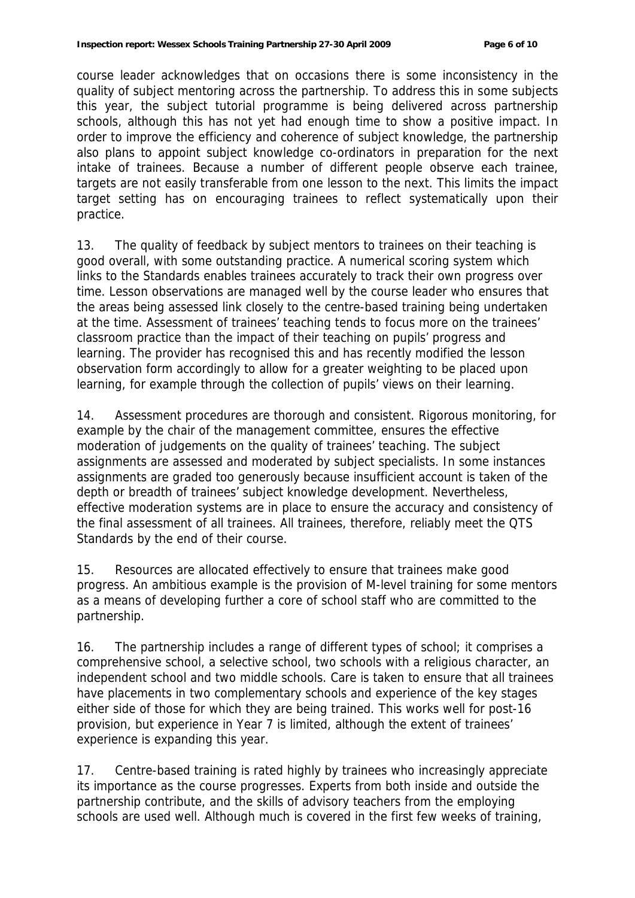course leader acknowledges that on occasions there is some inconsistency in the quality of subject mentoring across the partnership. To address this in some subjects this year, the subject tutorial programme is being delivered across partnership schools, although this has not yet had enough time to show a positive impact. In order to improve the efficiency and coherence of subject knowledge, the partnership also plans to appoint subject knowledge co-ordinators in preparation for the next intake of trainees. Because a number of different people observe each trainee, targets are not easily transferable from one lesson to the next. This limits the impact target setting has on encouraging trainees to reflect systematically upon their practice.

13. The quality of feedback by subject mentors to trainees on their teaching is good overall, with some outstanding practice. A numerical scoring system which links to the Standards enables trainees accurately to track their own progress over time. Lesson observations are managed well by the course leader who ensures that the areas being assessed link closely to the centre-based training being undertaken at the time. Assessment of trainees' teaching tends to focus more on the trainees' classroom practice than the impact of their teaching on pupils' progress and learning. The provider has recognised this and has recently modified the lesson observation form accordingly to allow for a greater weighting to be placed upon learning, for example through the collection of pupils' views on their learning.

14. Assessment procedures are thorough and consistent. Rigorous monitoring, for example by the chair of the management committee, ensures the effective moderation of judgements on the quality of trainees' teaching. The subject assignments are assessed and moderated by subject specialists. In some instances assignments are graded too generously because insufficient account is taken of the depth or breadth of trainees' subject knowledge development. Nevertheless, effective moderation systems are in place to ensure the accuracy and consistency of the final assessment of all trainees. All trainees, therefore, reliably meet the QTS Standards by the end of their course.

15. Resources are allocated effectively to ensure that trainees make good progress. An ambitious example is the provision of M-level training for some mentors as a means of developing further a core of school staff who are committed to the partnership.

16. The partnership includes a range of different types of school; it comprises a comprehensive school, a selective school, two schools with a religious character, an independent school and two middle schools. Care is taken to ensure that all trainees have placements in two complementary schools and experience of the key stages either side of those for which they are being trained. This works well for post-16 provision, but experience in Year 7 is limited, although the extent of trainees' experience is expanding this year.

17. Centre-based training is rated highly by trainees who increasingly appreciate its importance as the course progresses. Experts from both inside and outside the partnership contribute, and the skills of advisory teachers from the employing schools are used well. Although much is covered in the first few weeks of training,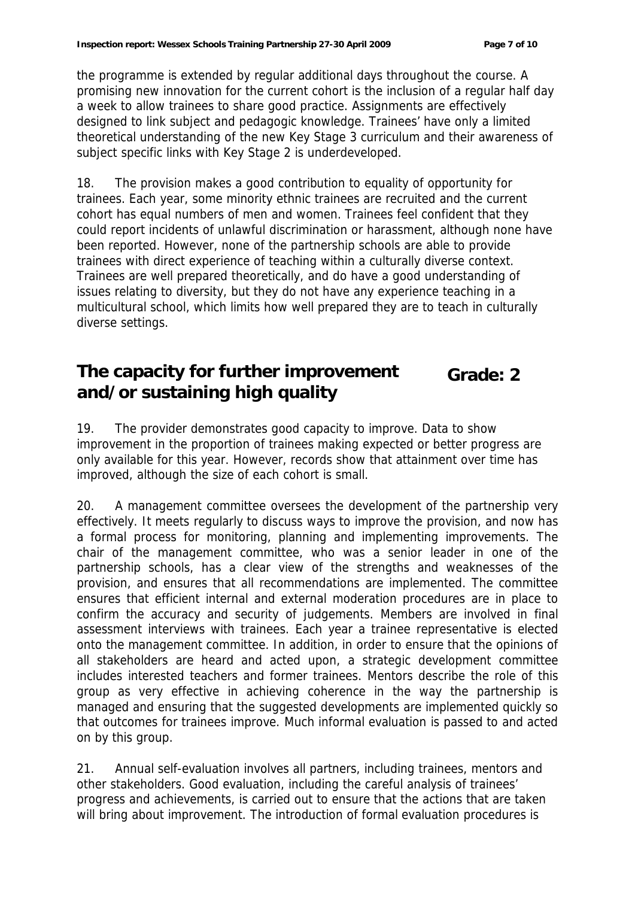the programme is extended by regular additional days throughout the course. A promising new innovation for the current cohort is the inclusion of a regular half day a week to allow trainees to share good practice. Assignments are effectively designed to link subject and pedagogic knowledge. Trainees' have only a limited theoretical understanding of the new Key Stage 3 curriculum and their awareness of subject specific links with Key Stage 2 is underdeveloped.

18. The provision makes a good contribution to equality of opportunity for trainees. Each year, some minority ethnic trainees are recruited and the current cohort has equal numbers of men and women. Trainees feel confident that they could report incidents of unlawful discrimination or harassment, although none have been reported. However, none of the partnership schools are able to provide trainees with direct experience of teaching within a culturally diverse context. Trainees are well prepared theoretically, and do have a good understanding of issues relating to diversity, but they do not have any experience teaching in a multicultural school, which limits how well prepared they are to teach in culturally diverse settings.

#### **The capacity for further improvement and/or sustaining high quality Grade: 2**

19. The provider demonstrates good capacity to improve. Data to show improvement in the proportion of trainees making expected or better progress are only available for this year. However, records show that attainment over time has improved, although the size of each cohort is small.

20. A management committee oversees the development of the partnership very effectively. It meets regularly to discuss ways to improve the provision, and now has a formal process for monitoring, planning and implementing improvements. The chair of the management committee, who was a senior leader in one of the partnership schools, has a clear view of the strengths and weaknesses of the provision, and ensures that all recommendations are implemented. The committee ensures that efficient internal and external moderation procedures are in place to confirm the accuracy and security of judgements. Members are involved in final assessment interviews with trainees. Each year a trainee representative is elected onto the management committee. In addition, in order to ensure that the opinions of all stakeholders are heard and acted upon, a strategic development committee includes interested teachers and former trainees. Mentors describe the role of this group as very effective in achieving coherence in the way the partnership is managed and ensuring that the suggested developments are implemented quickly so that outcomes for trainees improve. Much informal evaluation is passed to and acted on by this group.

21. Annual self-evaluation involves all partners, including trainees, mentors and other stakeholders. Good evaluation, including the careful analysis of trainees' progress and achievements, is carried out to ensure that the actions that are taken will bring about improvement. The introduction of formal evaluation procedures is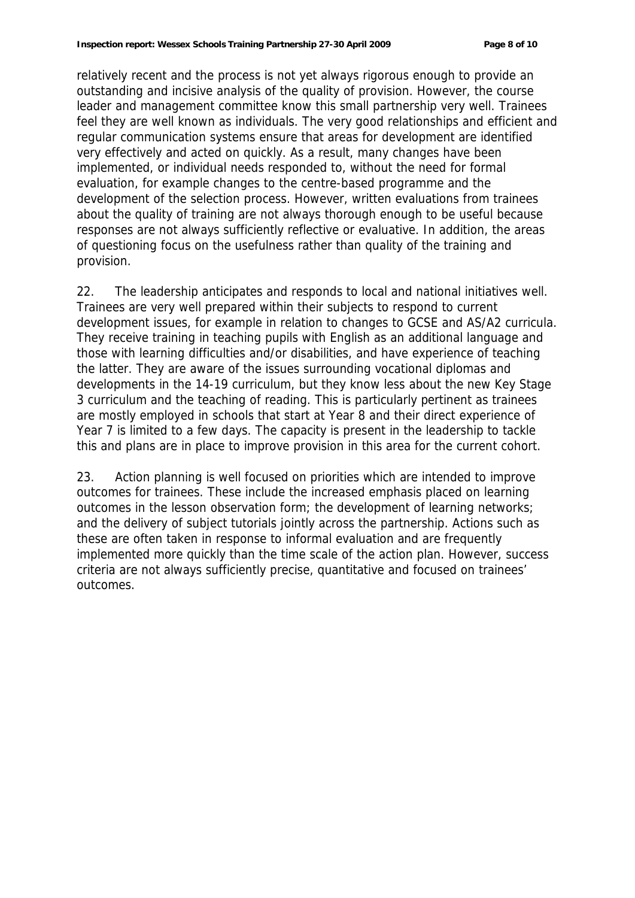relatively recent and the process is not yet always rigorous enough to provide an outstanding and incisive analysis of the quality of provision. However, the course leader and management committee know this small partnership very well. Trainees feel they are well known as individuals. The very good relationships and efficient and regular communication systems ensure that areas for development are identified very effectively and acted on quickly. As a result, many changes have been implemented, or individual needs responded to, without the need for formal evaluation, for example changes to the centre-based programme and the development of the selection process. However, written evaluations from trainees about the quality of training are not always thorough enough to be useful because responses are not always sufficiently reflective or evaluative. In addition, the areas of questioning focus on the usefulness rather than quality of the training and provision.

22. The leadership anticipates and responds to local and national initiatives well. Trainees are very well prepared within their subjects to respond to current development issues, for example in relation to changes to GCSE and AS/A2 curricula. They receive training in teaching pupils with English as an additional language and those with learning difficulties and/or disabilities, and have experience of teaching the latter. They are aware of the issues surrounding vocational diplomas and developments in the 14-19 curriculum, but they know less about the new Key Stage 3 curriculum and the teaching of reading. This is particularly pertinent as trainees are mostly employed in schools that start at Year 8 and their direct experience of Year 7 is limited to a few days. The capacity is present in the leadership to tackle this and plans are in place to improve provision in this area for the current cohort.

23. Action planning is well focused on priorities which are intended to improve outcomes for trainees. These include the increased emphasis placed on learning outcomes in the lesson observation form; the development of learning networks; and the delivery of subject tutorials jointly across the partnership. Actions such as these are often taken in response to informal evaluation and are frequently implemented more quickly than the time scale of the action plan. However, success criteria are not always sufficiently precise, quantitative and focused on trainees' outcomes.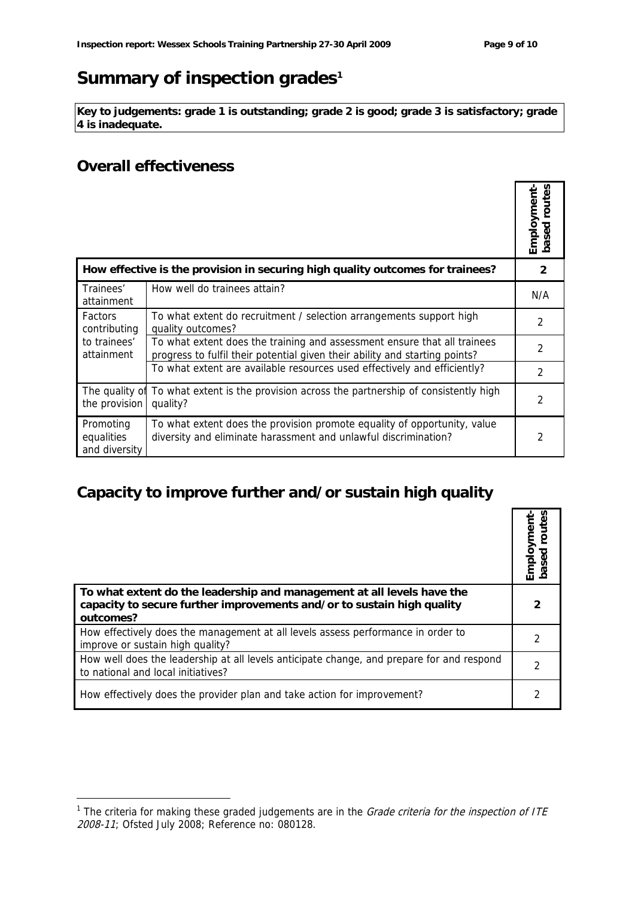# Summary of inspection grades<sup>1</sup>

**Key to judgements: grade 1 is outstanding; grade 2 is good; grade 3 is satisfactory; grade 4 is inadequate.**

#### **Overall effectiveness**

-

|                                                                                |                                                                                                                                                         | Employment-<br>routes<br>g<br>$\overline{\Omega}$ |
|--------------------------------------------------------------------------------|---------------------------------------------------------------------------------------------------------------------------------------------------------|---------------------------------------------------|
| How effective is the provision in securing high quality outcomes for trainees? |                                                                                                                                                         | 2                                                 |
| Trainees'<br>attainment                                                        | How well do trainees attain?                                                                                                                            | N/A                                               |
| Factors<br>contributing<br>to trainees'<br>attainment                          | To what extent do recruitment / selection arrangements support high<br>quality outcomes?                                                                | 2                                                 |
|                                                                                | To what extent does the training and assessment ensure that all trainees<br>progress to fulfil their potential given their ability and starting points? | 2                                                 |
|                                                                                | To what extent are available resources used effectively and efficiently?                                                                                | 2                                                 |
| The quality of<br>the provision                                                | To what extent is the provision across the partnership of consistently high<br>quality?                                                                 | 2                                                 |
| Promoting<br>equalities<br>and diversity                                       | To what extent does the provision promote equality of opportunity, value<br>diversity and eliminate harassment and unlawful discrimination?             |                                                   |

# **Capacity to improve further and/or sustain high quality**

|                                                                                                                                                               | Employment<br>based routes |
|---------------------------------------------------------------------------------------------------------------------------------------------------------------|----------------------------|
| To what extent do the leadership and management at all levels have the<br>capacity to secure further improvements and/or to sustain high quality<br>outcomes? |                            |
| How effectively does the management at all levels assess performance in order to<br>improve or sustain high quality?                                          |                            |
| How well does the leadership at all levels anticipate change, and prepare for and respond<br>to national and local initiatives?                               |                            |
| How effectively does the provider plan and take action for improvement?                                                                                       |                            |

<sup>&</sup>lt;sup>1</sup> The criteria for making these graded judgements are in the *Grade criteria for the inspection of ITE* 2008-11; Ofsted July 2008; Reference no: 080128.